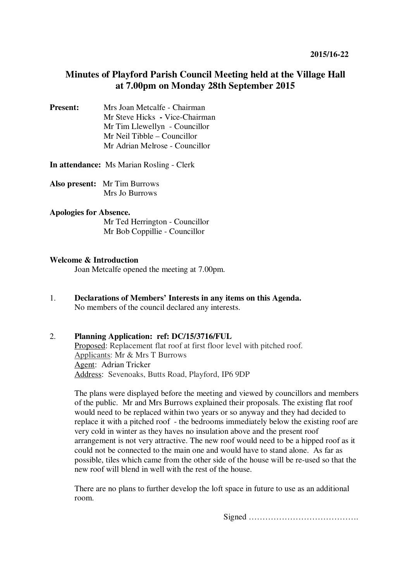# **Minutes of Playford Parish Council Meeting held at the Village Hall at 7.00pm on Monday 28th September 2015**

**Present:** Mrs Joan Metcalfe - Chairman Mr Steve Hicks **-** Vice-Chairman Mr Tim Llewellyn- Councillor Mr Neil Tibble – Councillor Mr Adrian Melrose - Councillor

**In attendance:** Ms Marian Rosling - Clerk

**Also present:** Mr Tim Burrows Mrs Jo Burrows

### **Apologies for Absence.**

 Mr Ted Herrington - Councillor Mr Bob Coppillie - Councillor

### **Welcome & Introduction**

Joan Metcalfe opened the meeting at 7.00pm.

1. **Declarations of Members' Interests in any items on this Agenda.**  No members of the council declared any interests.

## 2. **Planning Application: ref: DC/15/3716/FUL**

Proposed: Replacement flat roof at first floor level with pitched roof. Applicants: Mr & Mrs T Burrows Agent: Adrian Tricker Address: Sevenoaks, Butts Road, Playford, IP6 9DP

The plans were displayed before the meeting and viewed by councillors and members of the public. Mr and Mrs Burrows explained their proposals. The existing flat roof would need to be replaced within two years or so anyway and they had decided to replace it with a pitched roof - the bedrooms immediately below the existing roof are very cold in winter as they haves no insulation above and the present roof arrangement is not very attractive. The new roof would need to be a hipped roof as it could not be connected to the main one and would have to stand alone. As far as possible, tiles which came from the other side of the house will be re-used so that the new roof will blend in well with the rest of the house.

There are no plans to further develop the loft space in future to use as an additional room.

Signed ………………………………….